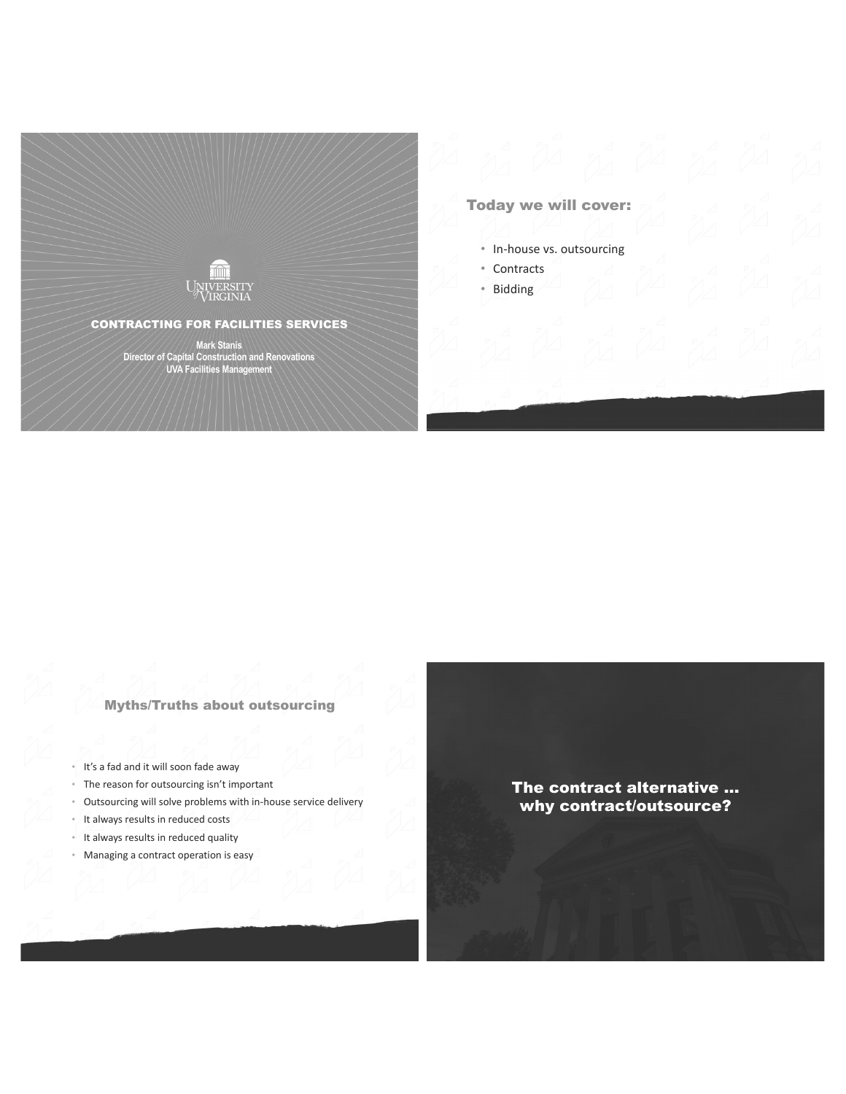

# **Today we will cover:**

- In-house vs. outsourcing
- Contracts
- · Bidding

**Myths/Truths about outsourcing** 

- . It's a fad and it will soon fade away
- The reason for outsourcing isn't important
- Outsourcing will solve problems with in-house service delivery  $\alpha$
- It always results in reduced costs  $\bar{\rm e}$
- It always results in reduced quality
- Managing a contract operation is easy

# The contract alternative ... why contract/outsource?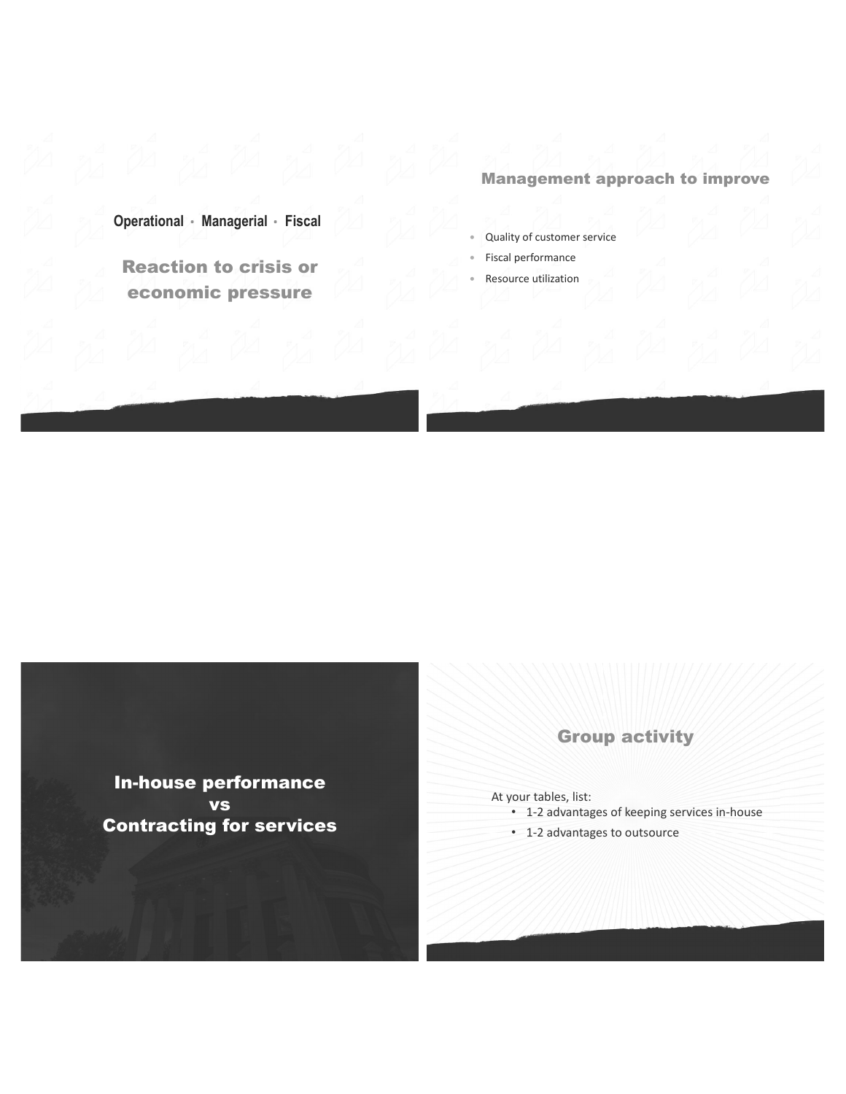# **Management approach to improve**

Operational · Managerial · Fiscal

**Reaction to crisis or** economic pressure

- Quality of customer service
- Fiscal performance
- Resource utilization

**In-house performance VS Contracting for services** 

# **Group activity**

At your tables, list:

- 1-2 advantages of keeping services in-house
- 1-2 advantages to outsource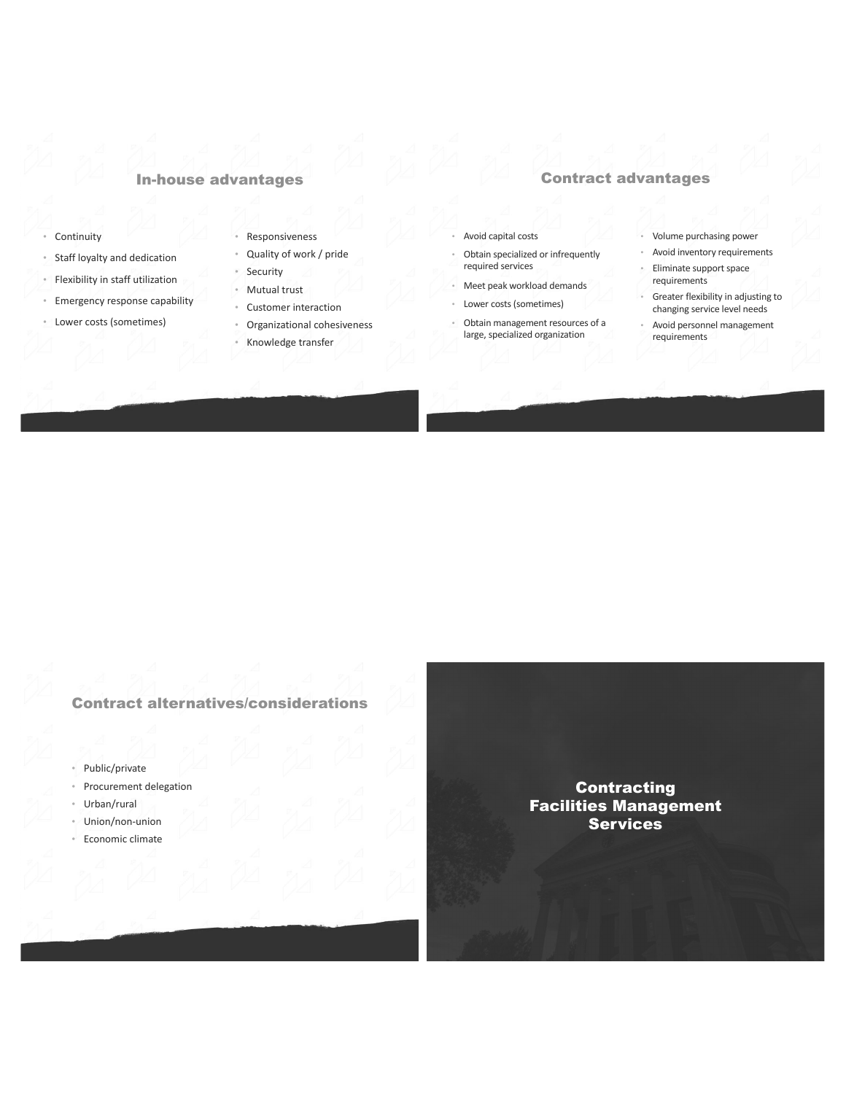## **In-house advantages**

- Continuity
- Staff loyalty and dedication
- Flexibility in staff utilization  $\alpha$  .
- · Emergency response capability
- Lower costs (sometimes)
- · Responsiveness
- Quality of work / pride
- Security · Mutual trust
- Customer interaction
- 
- 
- 
- Organizational cohesiveness
- · Knowledge transfer

## **Contract advantages**

Avoid capital costs

required services

Obtain specialized or infrequently

Meet peak workload demands

large, specialized organization

Obtain management resources of a

Lower costs (sometimes)

- Volume purchasing power
- Avoid inventory requirements  $\epsilon$
- Eliminate support space requirements
- Greater flexibility in adjusting to changing service level needs
- Avoid personnel management requirements

## **Contract alternatives/considerations**

- Public/private
- Procurement delegation
- Urban/rural
- Union/non-union
- Economic climate  $\alpha^{\dagger}$

**Contracting Facilities Management Services**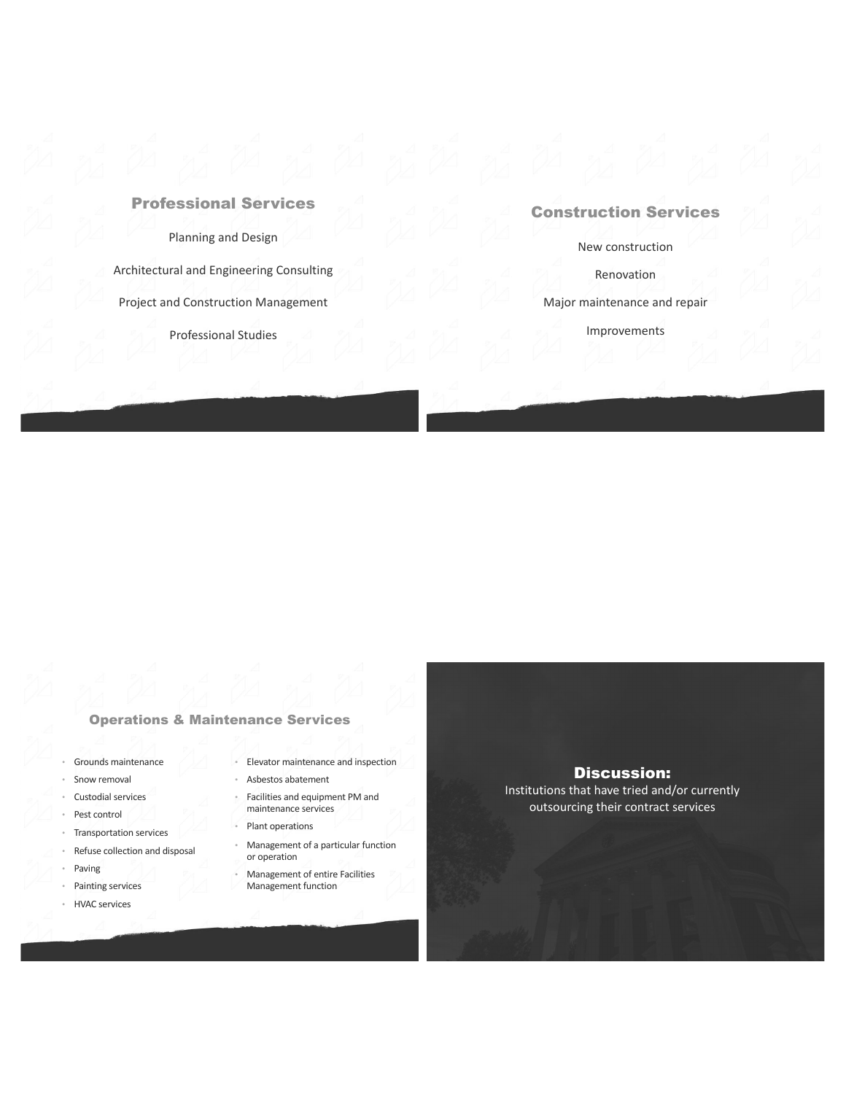## **Professional Services**

Planning and Design

Architectural and Engineering Consulting Project and Construction Management

Professional Studies

## **Construction Services**

New construction

Renovation

Major maintenance and repair

Improvements

### **Operations & Maintenance Services**

- Grounds maintenance
- Snow removal  $\overline{\phantom{a}}$
- Custodial services  $\overline{\phantom{a}}$
- Pest control  $^{\circ}$
- Transportation services  $\circ$
- Refuse collection and disposal  $^\circ$
- Paving
- Painting services
- **HVAC** services
- · Elevator maintenance and inspection
- · Asbestos abatement
- · Facilities and equipment PM and maintenance services
- Plant operations
	- Management of a particular function or operation
- Management of entire Facilities c Management function

**Discussion:** 

Institutions that have tried and/or currently outsourcing their contract services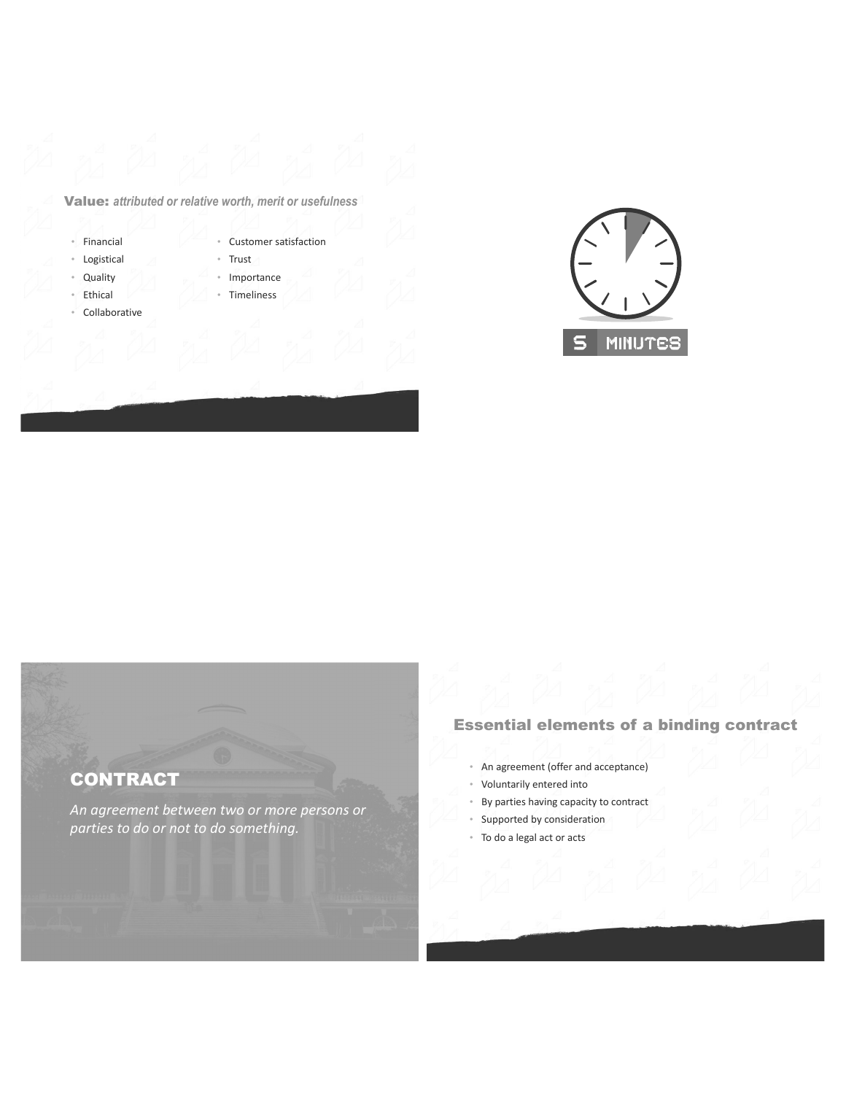## Value: attributed or relative worth, merit or usefulness

- · Financial
- Logistical  $\ddot{\phantom{0}}$
- Quality  $\ddot{\phantom{0}}$
- Ethical  $\sigma_{\rm c}$
- Collaborative
- Customer satisfaction
- · Trust
- Importance
- Timeliness



# **CONTRACT**

An agreement between two or more persons or parties to do or not to do something.

# **Essential elements of a binding contract**

- An agreement (offer and acceptance)
- Voluntarily entered into
- By parties having capacity to contract
- Supported by consideration  $\ddot{\phantom{0}}$
- To do a legal act or acts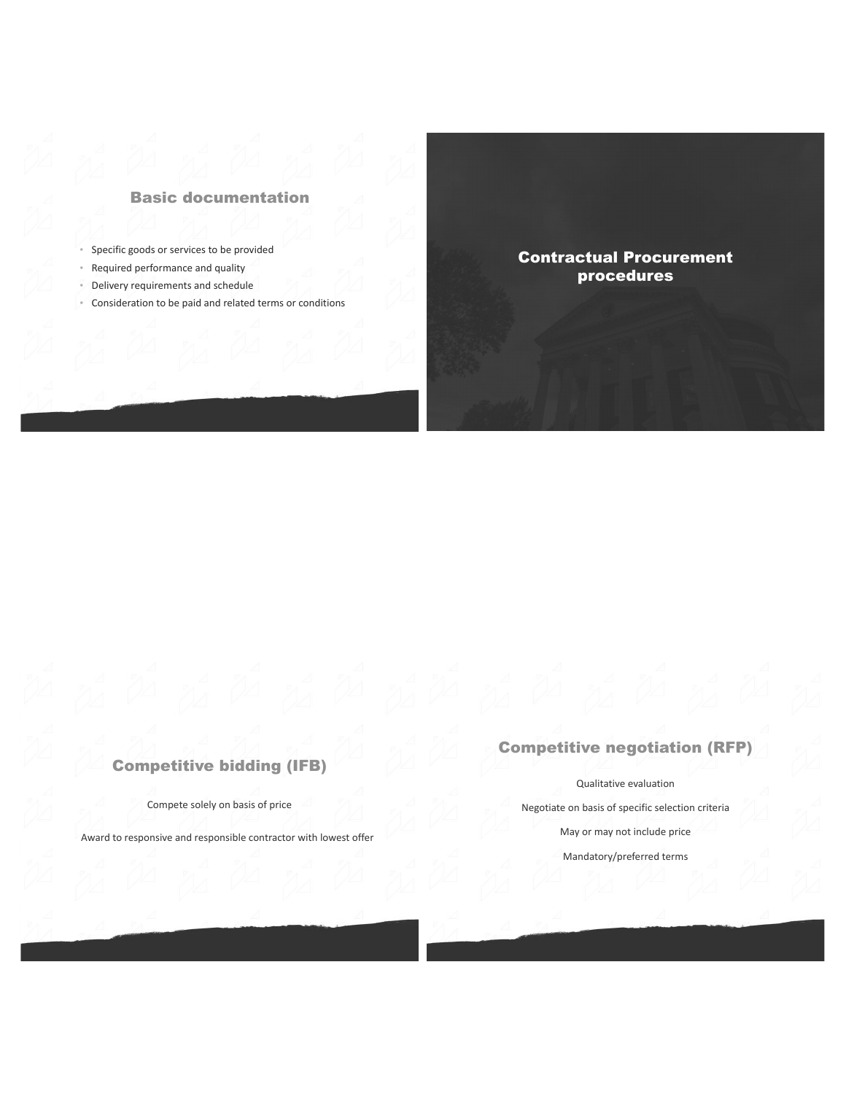# **Basic documentation**

- Specific goods or services to be provided
- Required performance and quality
- Delivery requirements and schedule
- Consideration to be paid and related terms or conditions

# **Contractual Procurement** procedures

# **Competitive bidding (IFB)**

Compete solely on basis of price

Award to responsive and responsible contractor with lowest offer

# **Competitive negotiation (RFP)**

Qualitative evaluation

Negotiate on basis of specific selection criteria

May or may not include price

Mandatory/preferred terms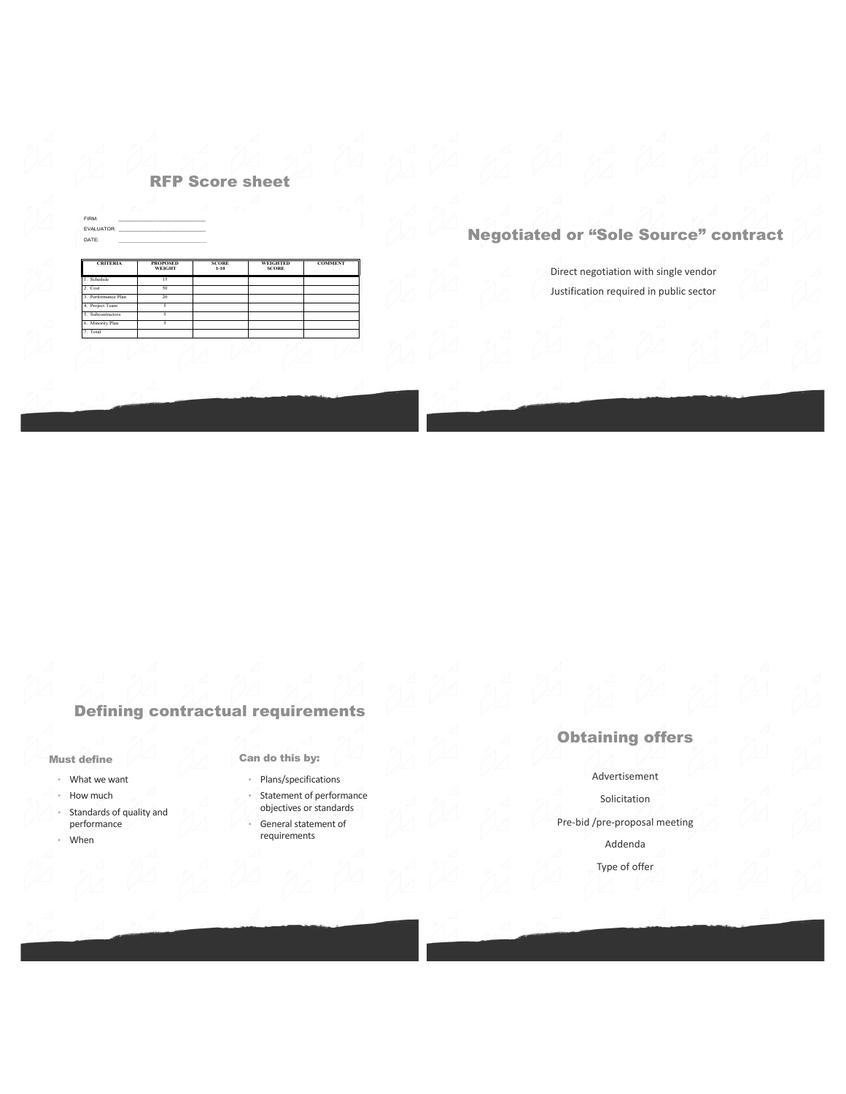# **RFP Score sheet**

| FIRM:                  |                                                                                                                |              |              |
|------------------------|----------------------------------------------------------------------------------------------------------------|--------------|--------------|
|                        | EVALUATOR: WE ARRIVE THE STATE OF THE STATE OF THE STATE OF THE STATE OF THE STATE OF THE STATE OF THE STATE O |              |              |
| DATE:                  |                                                                                                                |              |              |
| <b>CRITERIA</b>        | <b>PROPOSED</b>                                                                                                | <b>SCORE</b> |              |
|                        | WEIGHT                                                                                                         | $1 - 10$     | <b>SCORE</b> |
|                        | 15                                                                                                             |              | WEIGHTED     |
| 1. Schedule<br>2. Cost | 50                                                                                                             |              |              |
| 3. Performance Plan    | 20                                                                                                             |              |              |
| 4. Project Team        | ς                                                                                                              |              |              |

# **Negotiated or "Sole Source" contract**

Direct negotiation with single vendor Justification required in public sector

# **Defining contractual requirements**

#### **Must define**

- What we want
- How much
- Standards of quality and performance
- · When

## Can do this by:

- · Plans/specifications
- Statement of performance objectives or standards
- General statement of requirements

# **Obtaining offers**

#### Advertisement

#### Solicitation

Pre-bid /pre-proposal meeting

#### Addenda

Type of offer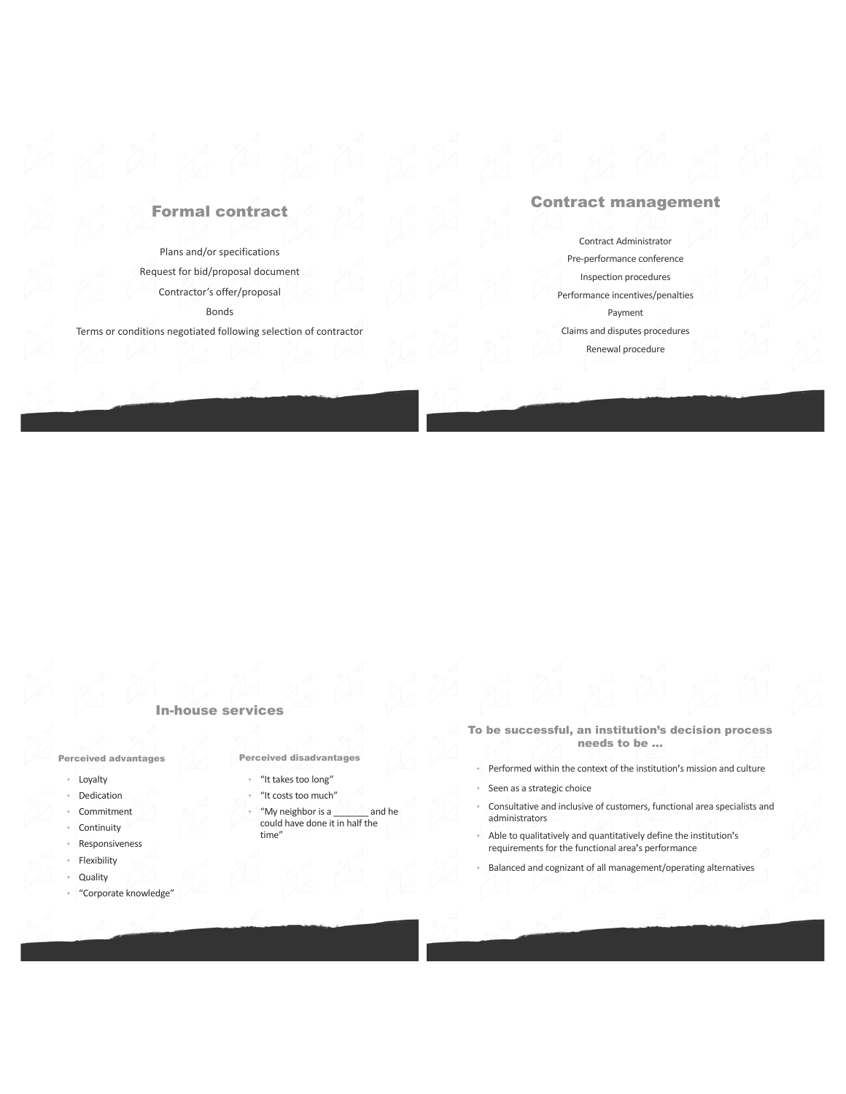# **Formal contract**

Plans and/or specifications Request for bid/proposal document Contractor's offer/proposal **Bonds** 

Terms or conditions negotiated following selection of contractor

## **Contract management**

Contract Administrator Pre-performance conference Inspection procedures Performance incentives/penalties Payment Claims and disputes procedures Renewal procedure

#### **In-house services**

**Perceived advantages** 

- Loyalty
- Dedication
- Commitment
- Continuity
- Responsiveness
- Flexibility
- Quality
- <sup>\*</sup> "Corporate knowledge"

**Perceived disadvantages** 

- · "It takes too long"
- "It costs too much"
- "My neighbor is a and he could have done it in half the time"
- To be successful, an institution's decision process needs to be ...
	- Performed within the context of the institution's mission and culture
- Seen as a strategic choice
- Consultative and inclusive of customers, functional area specialists and administrators
- Able to qualitatively and quantitatively define the institution's requirements for the functional area's performance
- Balanced and cognizant of all management/operating alternatives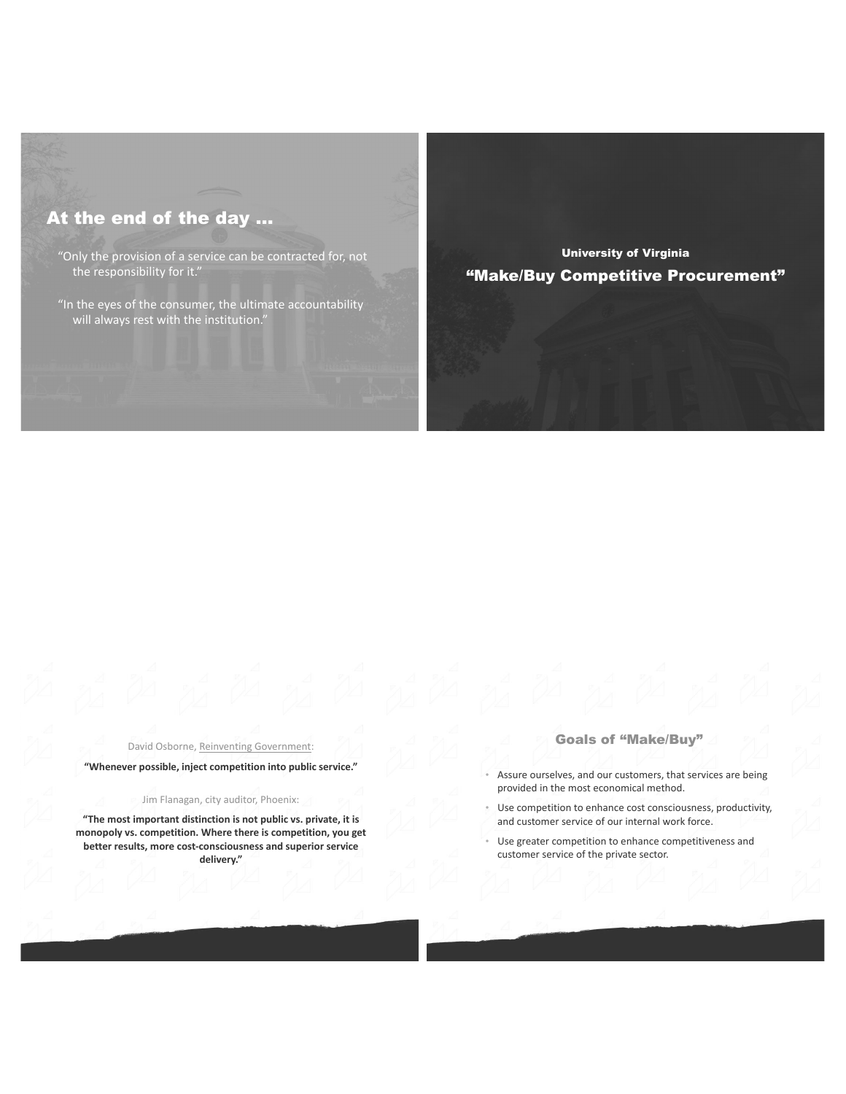# At the end of the day ...

"Only the provision of a service can be contracted for, not the responsibility for it."

"In the eyes of the consumer, the ultimate accountability will always rest with the institution.

**University of Virginia** "Make/Buy Competitive Procurement"

David Osborne, Reinventing Government:

"Whenever possible, inject competition into public service."

Jim Flanagan, city auditor, Phoenix:

"The most important distinction is not public vs. private, it is monopoly vs. competition. Where there is competition, you get better results, more cost-consciousness and superior service delivery."

#### **Goals of "Make/Buy"**

- Assure ourselves, and our customers, that services are being provided in the most economical method.
- Use competition to enhance cost consciousness, productivity, and customer service of our internal work force.
- Use greater competition to enhance competitiveness and customer service of the private sector.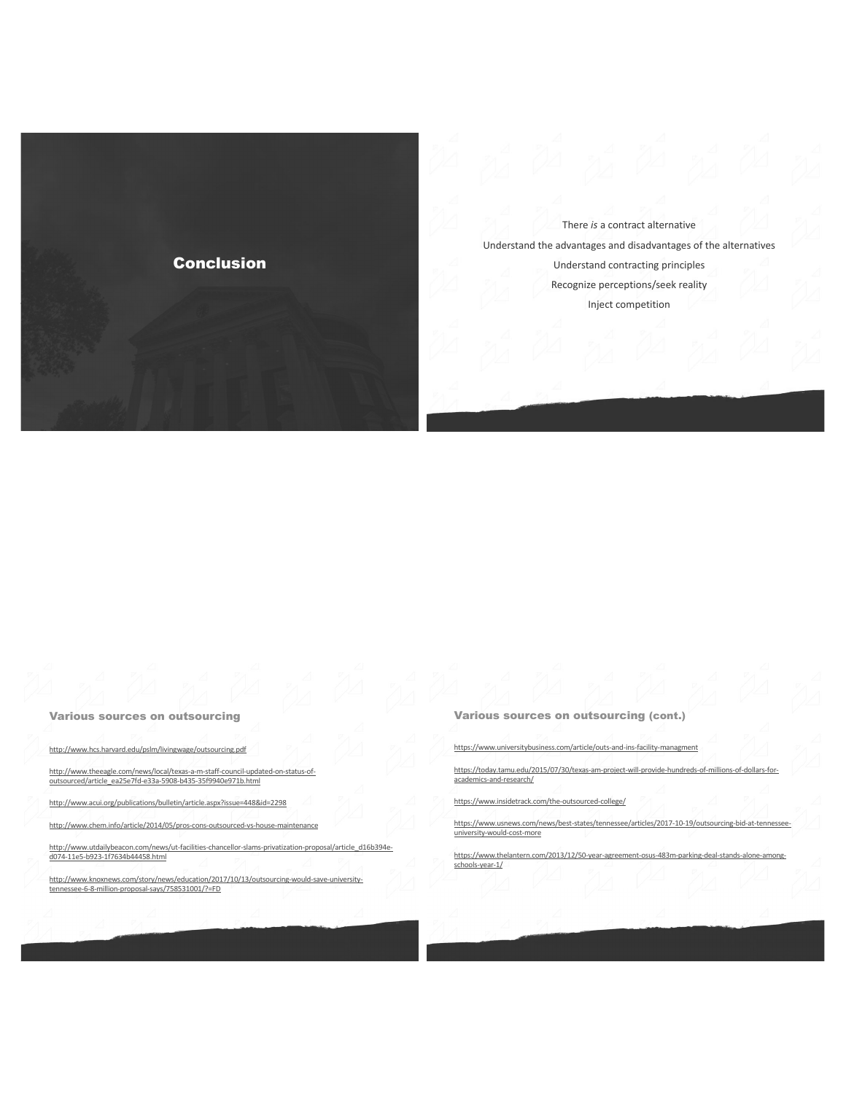

There is a contract alternative Understand the advantages and disadvantages of the alternatives Understand contracting principles Recognize perceptions/seek reality Inject competition

**Various sources on outsourcing** 

http://www.hcs.harvard.edu/pslm/livingwage/outsourcing.pdf

http://www.theeagle.com/news/local/texas-a-m-staff-council-updated-on-status-of-<br>outsourced/article\_ea25e7fd-e33a-5908-b435-35f9940e971b.html

http://www.acui.org/publications/bulletin/article.aspx?issue=448&id=2298

http://www.chem.info/article/2014/05/pros-cons-outsourced-vs-house-maintenance

http://www.utdailybeacon.com/news/ut-facilities-chancellor-slams-privatization-proposal/article\_d16b394ed074-11e5-b923-1f7634b44458.html

http://www.knoxnews.com/story/news/education/2017/10/13/outsourcing-would-save-university-<br>tennessee-6-8-million-proposal-savs/758531001/?=FD

Various sources on outsourcing (cont.)

https://www.universitybusiness.com/article/outs-and-ins-facility-managment

https://today.tamu.edu/2015/07/30/texas-am-project-will-provide-hundreds-of-millions-of-dollars-foracademics-and-research/

https://www.insidetrack.com/the-outsourced-college/

https://www.usnews.com/news/best-states/tennessee/articles/2017-10-19/outsourcing-bid-at-tennesseeuniversity-would-cost-more

https://www.thelantern.com/2013/12/50-year-agreement-osus-483m-parking-deal-stands-alone-amongschools-year-1/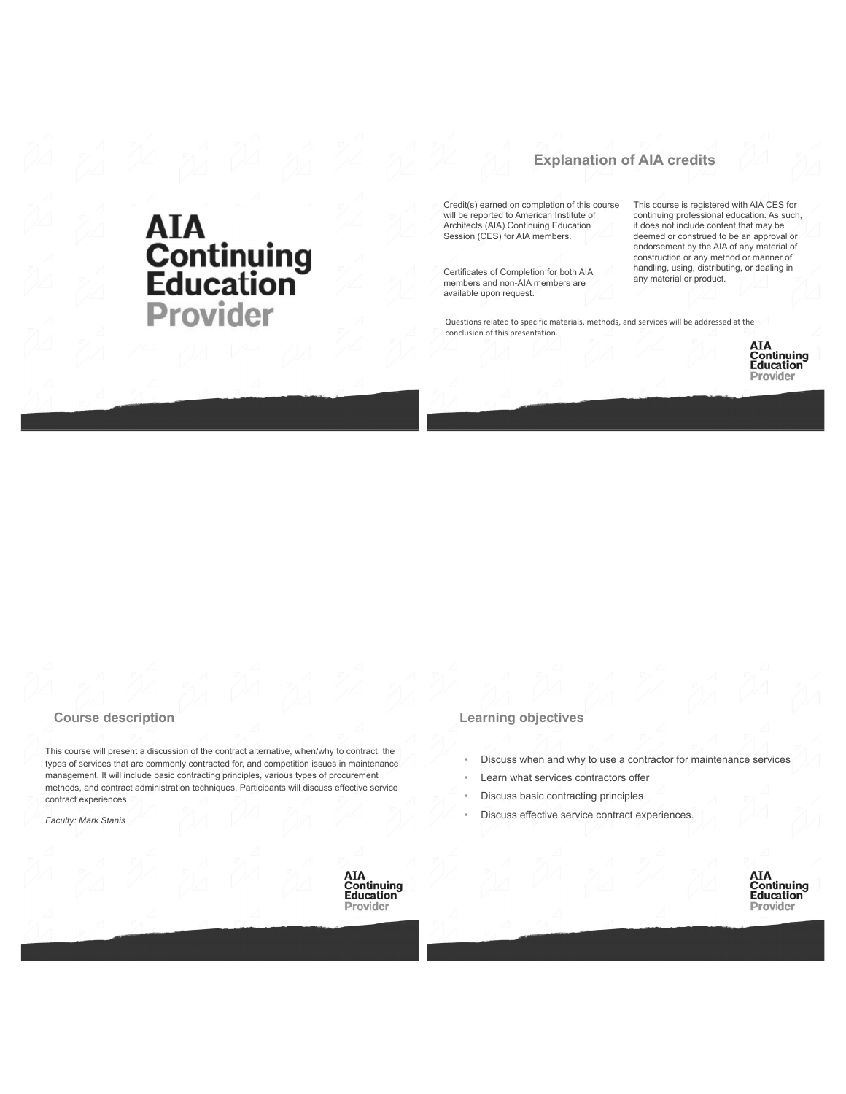# **AIA<br>Continuing<br>Education<br>Provider**

# **Explanation of AIA credits**

Credit(s) earned on completion of this course will be reported to American Institute of Architects (AIA) Continuing Education Session (CES) for AIA members.

Certificates of Completion for both AIA members and non-AIA members are available upon request.

This course is registered with AIA CES for continuing professional education. As such, it does not include content that may be deemed or construed to be an approval or endorsement by the AIA of any material of construction or any method or manner of handling, using, distributing, or dealing in<br>any material or product.

Questions related to specific materials, methods, and services will be addressed at the conclusion of this presentation.

> AIA **Continuing**<br>Education Provider

#### **Course description**

This course will present a discussion of the contract alternative, when/why to contract, the types of services that are commonly contracted for, and competition issues in maintenance management. It will include basic contracting principles, various types of procurement methods, and contract administration techniques. Participants will discuss effective service contract experiences.

Faculty: Mark Stanis



#### **Learning objectives**

- Discuss when and why to use a contractor for maintenance services
- Learn what services contractors offer
- Discuss basic contracting principles
- Discuss effective service contract experiences.